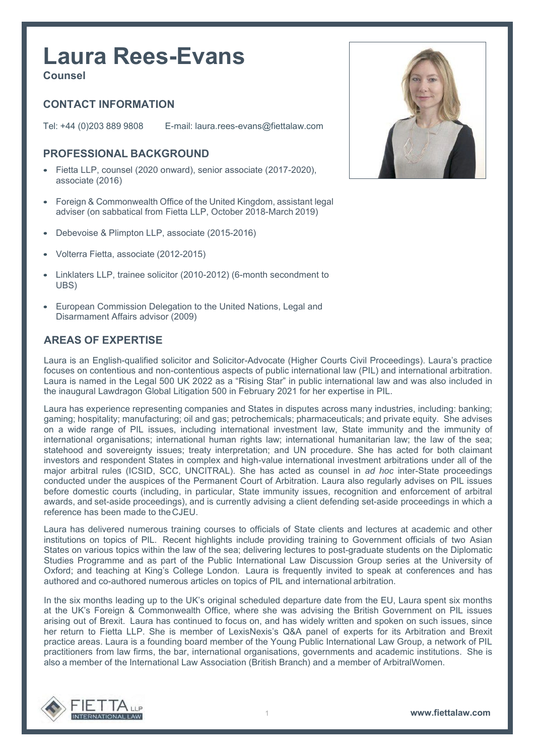# **Laura Rees-Evans**

**Counsel**

# **CONTACT INFORMATION**

Tel: +44 (0)203 889 9808 E-mail: [laura.rees-evans@fiettalaw.com](mailto:laura.rees-evans@fiettalaw.com)

# **PROFESSIONAL BACKGROUND**

- Fietta LLP, counsel (2020 onward), senior associate (2017-2020), associate (2016)
- Foreign & Commonwealth Office of the United Kingdom, assistant legal adviser (on sabbatical from Fietta LLP, October 2018-March 2019)
- Debevoise & Plimpton LLP, associate (2015-2016)
- Volterra Fietta, associate (2012-2015)
- Linklaters LLP, trainee solicitor (2010-2012) (6-month secondment to UBS)
- European Commission Delegation to the United Nations, Legal and Disarmament Affairs advisor (2009)

#### **AREAS OF EXPERTISE**

Laura is an English-qualified solicitor and Solicitor-Advocate (Higher Courts Civil Proceedings). Laura's practice focuses on contentious and non-contentious aspects of public international law (PIL) and international arbitration. Laura is named in the Legal 500 UK 2022 as a "Rising Star" in public international law and was also included in the inaugural Lawdragon Global Litigation 500 in February 2021 for her expertise in PIL.

Laura has experience representing companies and States in disputes across many industries, including: banking; gaming; hospitality; manufacturing; oil and gas; petrochemicals; pharmaceuticals; and private equity. She advises on a wide range of PIL issues, including international investment law, State immunity and the immunity of international organisations; international human rights law; international humanitarian law; the law of the sea; statehood and sovereignty issues; treaty interpretation; and UN procedure. She has acted for both claimant investors and respondent States in complex and high-value international investment arbitrations under all of the major arbitral rules (ICSID, SCC, UNCITRAL). She has acted as counsel in *ad hoc* inter-State proceedings conducted under the auspices of the Permanent Court of Arbitration. Laura also regularly advises on PIL issues before domestic courts (including, in particular, State immunity issues, recognition and enforcement of arbitral awards, and set-aside proceedings), and is currently advising a client defending set-aside proceedings in which a reference has been made to theCJEU.

Laura has delivered numerous training courses to officials of State clients and lectures at academic and other institutions on topics of PIL. Recent highlights include providing training to Government officials of two Asian States on various topics within the law of the sea; delivering lectures to post-graduate students on the Diplomatic Studies Programme and as part of the Public International Law Discussion Group series at the University of Oxford; and teaching at King's College London. Laura is frequently invited to speak at conferences and has authored and co-authored numerous articles on topics of PIL and international arbitration.

In the six months leading up to the UK's original scheduled departure date from the EU, Laura spent six months at the UK's Foreign & Commonwealth Office, where she was advising the British Government on PIL issues arising out of Brexit. Laura has continued to focus on, and has widely written and spoken on such issues, since her return to Fietta LLP. She is member of LexisNexis's Q&A panel of experts for its Arbitration and Brexit practice areas. Laura is a founding board member of the Young Public International Law Group, a network of PIL practitioners from law firms, the bar, international organisations, governments and academic institutions. She is also a member of the International Law Association (British Branch) and a member of ArbitralWomen.



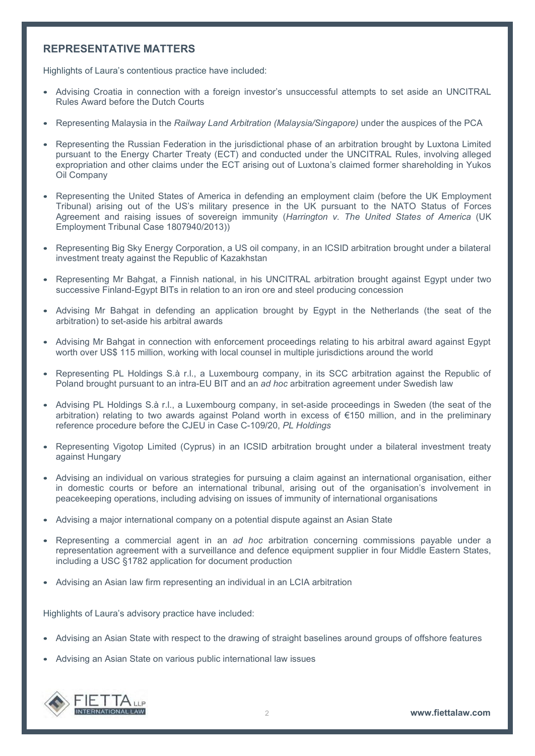#### **REPRESENTATIVE MATTERS**

Highlights of Laura's contentious practice have included:

- Advising Croatia in connection with a foreign investor's unsuccessful attempts to set aside an UNCITRAL Rules Award before the Dutch Courts
- Representing Malaysia in the *Railway Land Arbitration (Malaysia/Singapore)* under the auspices of the PCA
- Representing the Russian Federation in the jurisdictional phase of an arbitration brought by Luxtona Limited pursuant to the Energy Charter Treaty (ECT) and conducted under the UNCITRAL Rules, involving alleged expropriation and other claims under the ECT arising out of Luxtona's claimed former shareholding in Yukos Oil Company
- Representing the United States of America in defending an employment claim (before the UK Employment Tribunal) arising out of the US's military presence in the UK pursuant to the NATO Status of Forces Agreement and raising issues of sovereign immunity (*Harrington v. The United States of America* (UK Employment Tribunal Case 1807940/2013))
- Representing Big Sky Energy Corporation, a US oil company, in an ICSID arbitration brought under a bilateral investment treaty against the Republic of Kazakhstan
- Representing Mr Bahgat, a Finnish national, in his UNCITRAL arbitration brought against Egypt under two successive Finland-Egypt BITs in relation to an iron ore and steel producing concession
- Advising Mr Bahgat in defending an application brought by Egypt in the Netherlands (the seat of the arbitration) to set-aside his arbitral awards
- Advising Mr Bahgat in connection with enforcement proceedings relating to his arbitral award against Egypt worth over US\$ 115 million, working with local counsel in multiple jurisdictions around the world
- Representing PL Holdings S.à r.l., a Luxembourg company, in its SCC arbitration against the Republic of Poland brought pursuant to an intra-EU BIT and an *ad hoc* arbitration agreement under Swedish law
- Advising PL Holdings S.à r.l., a Luxembourg company, in set-aside proceedings in Sweden (the seat of the arbitration) relating to two awards against Poland worth in excess of €150 million, and in the preliminary reference procedure before the CJEU in Case C-109/20, *PL Holdings*
- Representing Vigotop Limited (Cyprus) in an ICSID arbitration brought under a bilateral investment treaty against Hungary
- Advising an individual on various strategies for pursuing a claim against an international organisation, either in domestic courts or before an international tribunal, arising out of the organisation's involvement in peacekeeping operations, including advising on issues of immunity of international organisations
- Advising a major international company on a potential dispute against an Asian State
- Representing a commercial agent in an *ad hoc* arbitration concerning commissions payable under a representation agreement with a surveillance and defence equipment supplier in four Middle Eastern States, including a USC §1782 application for document production
- Advising an Asian law firm representing an individual in an LCIA arbitration

Highlights of Laura's advisory practice have included:

- Advising an Asian State with respect to the drawing of straight baselines around groups of offshore features
- Advising an Asian State on various public international law issues

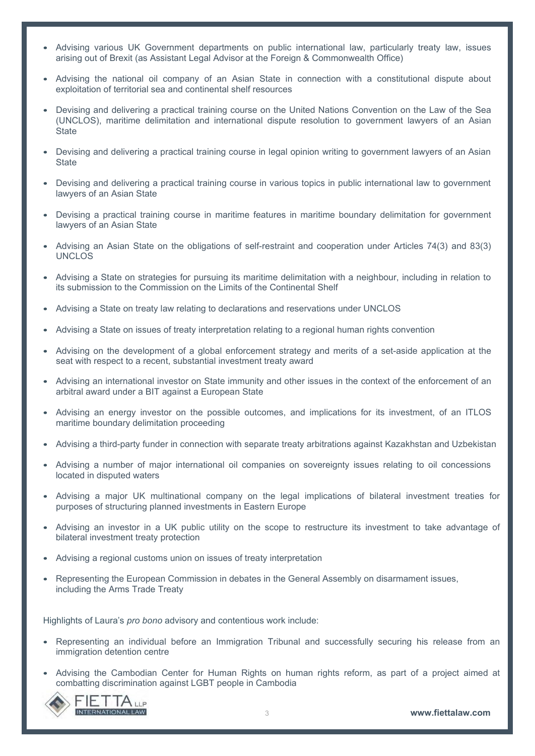- Advising various UK Government departments on public international law, particularly treaty law, issues arising out of Brexit (as Assistant Legal Advisor at the Foreign & Commonwealth Office)
- Advising the national oil company of an Asian State in connection with a constitutional dispute about exploitation of territorial sea and continental shelf resources
- Devising and delivering a practical training course on the United Nations Convention on the Law of the Sea (UNCLOS), maritime delimitation and international dispute resolution to government lawyers of an Asian **State**
- Devising and delivering a practical training course in legal opinion writing to government lawyers of an Asian **State**
- Devising and delivering a practical training course in various topics in public international law to government lawyers of an Asian State
- Devising a practical training course in maritime features in maritime boundary delimitation for government lawyers of an Asian State
- Advising an Asian State on the obligations of self-restraint and cooperation under Articles 74(3) and 83(3) **UNCLOS**
- Advising a State on strategies for pursuing its maritime delimitation with a neighbour, including in relation to its submission to the Commission on the Limits of the Continental Shelf
- Advising a State on treaty law relating to declarations and reservations under UNCLOS
- Advising a State on issues of treaty interpretation relating to a regional human rights convention
- Advising on the development of a global enforcement strategy and merits of a set-aside application at the seat with respect to a recent, substantial investment treaty award
- Advising an international investor on State immunity and other issues in the context of the enforcement of an arbitral award under a BIT against a European State
- Advising an energy investor on the possible outcomes, and implications for its investment, of an ITLOS maritime boundary delimitation proceeding
- Advising a third-party funder in connection with separate treaty arbitrations against Kazakhstan and Uzbekistan
- Advising a number of major international oil companies on sovereignty issues relating to oil concessions located in disputed waters
- Advising a major UK multinational company on the legal implications of bilateral investment treaties for purposes of structuring planned investments in Eastern Europe
- Advising an investor in a UK public utility on the scope to restructure its investment to take advantage of bilateral investment treaty protection
- Advising a regional customs union on issues of treaty interpretation
- Representing the European Commission in debates in the General Assembly on disarmament issues, including the Arms Trade Treaty

Highlights of Laura's *pro bono* advisory and contentious work include:

- Representing an individual before an Immigration Tribunal and successfully securing his release from an immigration detention centre
- Advising the Cambodian Center for Human Rights on human rights reform, as part of a project aimed at combatting discrimination against LGBT people in Cambodia

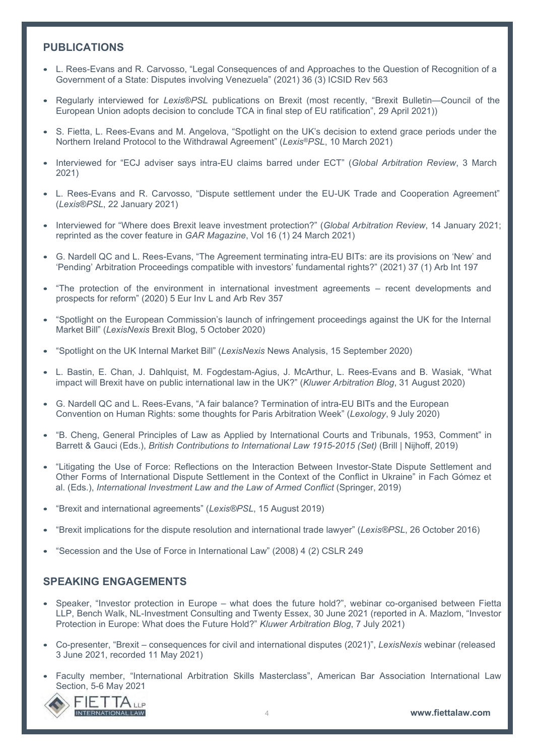### **PUBLICATIONS**

- L. Rees-Evans and R. Carvosso, "Legal Consequences of and Approaches to the Question of Recognition of a Government of a State: Disputes involving Venezuela" (2021) 36 (3) ICSID Rev 563
- Regularly interviewed for *Lexis*®*PSL* publications on Brexit (most recently, "Brexit Bulletin—Council of the European Union adopts decision to conclude TCA in final step of EU ratification", 29 April 2021))
- S. Fietta, L. Rees-Evans and M. Angelova, "Spotlight on the UK's decision to extend grace periods under the Northern Ireland Protocol to the Withdrawal Agreement" (*Lexis®PSL*, 10 March 2021)
- Interviewed for "ECJ adviser says intra-EU claims barred under ECT" (*Global Arbitration Review*, 3 March 2021)
- L. Rees-Evans and R. Carvosso, "Dispute settlement under the EU-UK Trade and Cooperation Agreement" (*Lexis*®*PSL*, 22 January 2021)
- Interviewed for "Where does Brexit leave investment protection?" (*Global Arbitration Review*, 14 January 2021; reprinted as the cover feature in *GAR Magazine*, Vol 16 (1) 24 March 2021)
- G. Nardell QC and L. Rees-Evans, "The Agreement terminating intra-EU BITs: are its provisions on 'New' and 'Pending' Arbitration Proceedings compatible with investors' fundamental rights?" (2021) 37 (1) Arb Int 197
- "The protection of the environment in international investment agreements recent developments and prospects for reform" (2020) 5 Eur Inv L and Arb Rev 357
- "Spotlight on the European Commission's launch of infringement proceedings against the UK for the Internal Market Bill" (*LexisNexis* Brexit Blog, 5 October 2020)
- "Spotlight on the UK Internal Market Bill" (*LexisNexis* News Analysis, 15 September 2020)
- L. Bastin, E. Chan, J. Dahlquist, M. Fogdestam-Agius, J. McArthur, L. Rees-Evans and B. Wasiak, "What impact will Brexit have on public international law in the UK?" (*Kluwer Arbitration Blog*, 31 August 2020)
- G. Nardell QC and L. Rees-Evans, "A fair balance? Termination of intra-EU BITs and the European Convention on Human Rights: some thoughts for Paris Arbitration Week" (*Lexology*, 9 July 2020)
- "B. Cheng, General Principles of Law as Applied by International Courts and Tribunals, 1953, Comment" in Barrett & Gauci (Eds.), *British Contributions to International Law 1915-2015 (Set)* (Brill | Nijhoff, 2019)
- "Litigating the Use of Force: Reflections on the Interaction Between Investor-State Dispute Settlement and Other Forms of International Dispute Settlement in the Context of the Conflict in Ukraine" in Fach Gómez et al. (Eds.), *International Investment Law and the Law of Armed Conflict* (Springer, 2019)
- "Brexit and international agreements" (*Lexis®PSL*, 15 August 2019)
- "Brexit implications for the dispute resolution and international trade lawyer" (*Lexis®PSL*, 26 October 2016)
- "Secession and the Use of Force in International Law" (2008) 4 (2) CSLR 249

#### **SPEAKING ENGAGEMENTS**

- Speaker, "Investor protection in Europe what does the future hold?", webinar co-organised between Fietta LLP, Bench Walk, NL-Investment Consulting and Twenty Essex, 30 June 2021 (reported in A. Mazlom, "Investor Protection in Europe: What does the Future Hold?" *Kluwer Arbitration Blog*, 7 July 2021)
- Co-presenter, "Brexit consequences for civil and international disputes (2021)", *LexisNexis* webinar (released 3 June 2021, recorded 11 May 2021)
- Faculty member, "International Arbitration Skills Masterclass", American Bar Association International Law Section, 5-6 May 2021